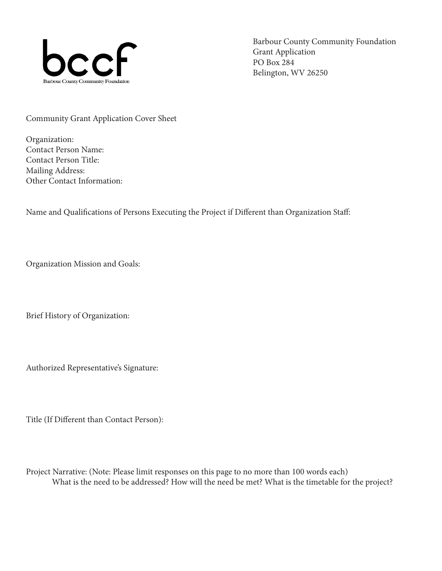

Barbour County Community Foundation Grant Application PO Box 284 Belington, WV 26250

Community Grant Application Cover Sheet

Organization: Contact Person Name: Contact Person Title: Mailing Address: Other Contact Information:

Name and Qualifications of Persons Executing the Project if Different than Organization Staff:

Organization Mission and Goals:

Brief History of Organization:

Authorized Representative's Signature:

Title (If Different than Contact Person):

Project Narrative: (Note: Please limit responses on this page to no more than 100 words each) What is the need to be addressed? How will the need be met? What is the timetable for the project?